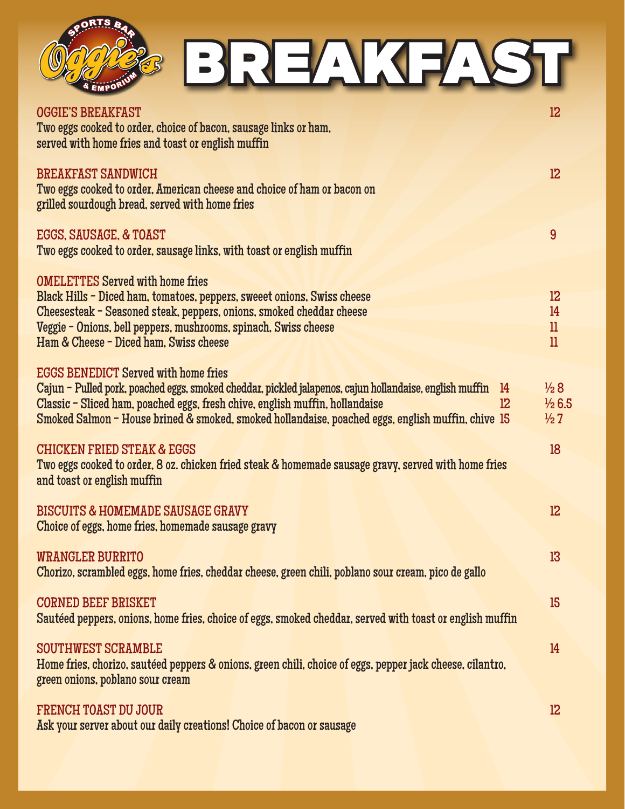

## BREAKFAST

| <b>OGGIE'S BREAKFAST</b><br>Two eggs cooked to order, choice of bacon, sausage links or ham,<br>served with home fries and toast or english muffin           | 12                |
|--------------------------------------------------------------------------------------------------------------------------------------------------------------|-------------------|
| <b>BREAKFAST SANDWICH</b><br>Two eggs cooked to order. American cheese and choice of ham or bacon on<br>grilled sourdough bread, served with home fries      | 12                |
| EGGS, SAUSAGE, & TOAST<br>Two eggs cooked to order, sausage links, with toast or english muffin                                                              | 9                 |
| <b>OMELETTES Served with home fries</b>                                                                                                                      |                   |
| Black Hills - Diced ham, tomatoes, peppers, sweeet onions, Swiss cheese                                                                                      | 12                |
| Cheesesteak - Seasoned steak, peppers, onions, smoked cheddar cheese                                                                                         | 14                |
| Veggie - Onions, bell peppers, mushrooms, spinach, Swiss cheese                                                                                              | $_{\rm ll}$       |
| Ham & Cheese - Diced ham. Swiss cheese                                                                                                                       | $_{11}$           |
|                                                                                                                                                              |                   |
| <b>EGGS BENEDICT Served with home fries</b><br>Cajun - Pulled pork, poached eggs, smoked cheddar, pickled jalapenos, cajun hollandaise, english muffin<br>14 | $\frac{1}{2}8$    |
| Classic - Sliced ham, poached eggs, fresh chive, english muffin, hollandaise<br>$12 \overline{ }$                                                            | $\frac{1}{2}$ 6.5 |
| Smoked Salmon - House brined & smoked, smoked hollandaise, poached eggs, english muffin, chive 15                                                            | $\frac{1}{2}7$    |
|                                                                                                                                                              |                   |
| <b>CHICKEN FRIED STEAK &amp; EGGS</b>                                                                                                                        | 18                |
| Two eggs cooked to order, 8 oz. chicken fried steak & homemade sausage gravy, served with home fries                                                         |                   |
| and toast or english muffin                                                                                                                                  |                   |
| <b>BISCUITS &amp; HOMEMADE SAUSAGE GRAVY</b>                                                                                                                 | 12                |
| Choice of eggs, home fries, homemade sausage gravy                                                                                                           |                   |
|                                                                                                                                                              |                   |
| <b>WRANGLER BURRITO</b>                                                                                                                                      | 13 <sup>°</sup>   |
| Chorizo, scrambled eggs, home fries, cheddar cheese, green chili, poblano sour cream, pico de gallo                                                          |                   |
| <b>CORNED BEEF BRISKET</b>                                                                                                                                   | 15                |
| Sautéed peppers, onions, home fries, choice of eggs, smoked cheddar, served with toast or english muffin                                                     |                   |
|                                                                                                                                                              |                   |
| <b>SOUTHWEST SCRAMBLE</b>                                                                                                                                    | 14                |
| Home fries, chorizo, sautéed peppers & onions, green chili, choice of eggs, pepper jack cheese, cilantro,                                                    |                   |
| green onions, poblano sour cream                                                                                                                             |                   |
|                                                                                                                                                              |                   |
| <b>FRENCH TOAST DU JOUR</b>                                                                                                                                  | 12                |
| Ask your server about our daily creations! Choice of bacon or sausage                                                                                        |                   |